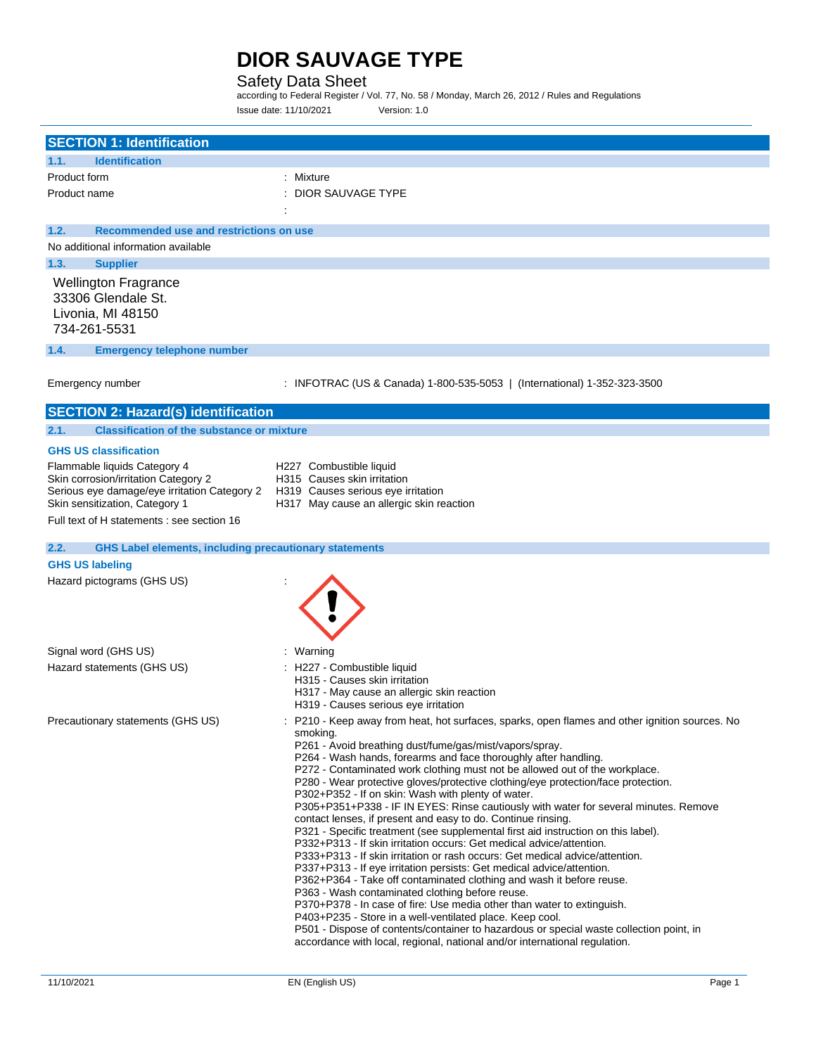### Safety Data Sheet

according to Federal Register / Vol. 77, No. 58 / Monday, March 26, 2012 / Rules and Regulations Issue date: 11/10/2021 Version: 1.0

| <b>SECTION 1: Identification</b>                                                                                                                       |                                                                                                                                                                                                                                                                                                                                                                                                                                                                                                                                                                                                                                                                                                                                                                                                                                                                                                                                                                                                                                                                                                                                                                                                                                                                                                                                                                                          |
|--------------------------------------------------------------------------------------------------------------------------------------------------------|------------------------------------------------------------------------------------------------------------------------------------------------------------------------------------------------------------------------------------------------------------------------------------------------------------------------------------------------------------------------------------------------------------------------------------------------------------------------------------------------------------------------------------------------------------------------------------------------------------------------------------------------------------------------------------------------------------------------------------------------------------------------------------------------------------------------------------------------------------------------------------------------------------------------------------------------------------------------------------------------------------------------------------------------------------------------------------------------------------------------------------------------------------------------------------------------------------------------------------------------------------------------------------------------------------------------------------------------------------------------------------------|
| <b>Identification</b><br>1.1.                                                                                                                          |                                                                                                                                                                                                                                                                                                                                                                                                                                                                                                                                                                                                                                                                                                                                                                                                                                                                                                                                                                                                                                                                                                                                                                                                                                                                                                                                                                                          |
| Product form                                                                                                                                           | Mixture                                                                                                                                                                                                                                                                                                                                                                                                                                                                                                                                                                                                                                                                                                                                                                                                                                                                                                                                                                                                                                                                                                                                                                                                                                                                                                                                                                                  |
| Product name                                                                                                                                           | <b>DIOR SAUVAGE TYPE</b>                                                                                                                                                                                                                                                                                                                                                                                                                                                                                                                                                                                                                                                                                                                                                                                                                                                                                                                                                                                                                                                                                                                                                                                                                                                                                                                                                                 |
| 1.2.<br>Recommended use and restrictions on use                                                                                                        |                                                                                                                                                                                                                                                                                                                                                                                                                                                                                                                                                                                                                                                                                                                                                                                                                                                                                                                                                                                                                                                                                                                                                                                                                                                                                                                                                                                          |
| No additional information available                                                                                                                    |                                                                                                                                                                                                                                                                                                                                                                                                                                                                                                                                                                                                                                                                                                                                                                                                                                                                                                                                                                                                                                                                                                                                                                                                                                                                                                                                                                                          |
| 1.3.<br><b>Supplier</b>                                                                                                                                |                                                                                                                                                                                                                                                                                                                                                                                                                                                                                                                                                                                                                                                                                                                                                                                                                                                                                                                                                                                                                                                                                                                                                                                                                                                                                                                                                                                          |
| <b>Wellington Fragrance</b><br>33306 Glendale St.<br>Livonia, MI 48150<br>734-261-5531                                                                 |                                                                                                                                                                                                                                                                                                                                                                                                                                                                                                                                                                                                                                                                                                                                                                                                                                                                                                                                                                                                                                                                                                                                                                                                                                                                                                                                                                                          |
| 1.4.<br><b>Emergency telephone number</b>                                                                                                              |                                                                                                                                                                                                                                                                                                                                                                                                                                                                                                                                                                                                                                                                                                                                                                                                                                                                                                                                                                                                                                                                                                                                                                                                                                                                                                                                                                                          |
| Emergency number                                                                                                                                       | : INFOTRAC (US & Canada) 1-800-535-5053   (International) 1-352-323-3500                                                                                                                                                                                                                                                                                                                                                                                                                                                                                                                                                                                                                                                                                                                                                                                                                                                                                                                                                                                                                                                                                                                                                                                                                                                                                                                 |
| <b>SECTION 2: Hazard(s) identification</b>                                                                                                             |                                                                                                                                                                                                                                                                                                                                                                                                                                                                                                                                                                                                                                                                                                                                                                                                                                                                                                                                                                                                                                                                                                                                                                                                                                                                                                                                                                                          |
| 2.1.<br><b>Classification of the substance or mixture</b>                                                                                              |                                                                                                                                                                                                                                                                                                                                                                                                                                                                                                                                                                                                                                                                                                                                                                                                                                                                                                                                                                                                                                                                                                                                                                                                                                                                                                                                                                                          |
| <b>GHS US classification</b>                                                                                                                           |                                                                                                                                                                                                                                                                                                                                                                                                                                                                                                                                                                                                                                                                                                                                                                                                                                                                                                                                                                                                                                                                                                                                                                                                                                                                                                                                                                                          |
| Flammable liquids Category 4<br>Skin corrosion/irritation Category 2<br>Serious eye damage/eye irritation Category 2<br>Skin sensitization, Category 1 | H227 Combustible liquid<br>H315 Causes skin irritation<br>H319 Causes serious eye irritation<br>H317 May cause an allergic skin reaction                                                                                                                                                                                                                                                                                                                                                                                                                                                                                                                                                                                                                                                                                                                                                                                                                                                                                                                                                                                                                                                                                                                                                                                                                                                 |
| Full text of H statements : see section 16                                                                                                             |                                                                                                                                                                                                                                                                                                                                                                                                                                                                                                                                                                                                                                                                                                                                                                                                                                                                                                                                                                                                                                                                                                                                                                                                                                                                                                                                                                                          |
| <b>GHS Label elements, including precautionary statements</b><br>2.2.                                                                                  |                                                                                                                                                                                                                                                                                                                                                                                                                                                                                                                                                                                                                                                                                                                                                                                                                                                                                                                                                                                                                                                                                                                                                                                                                                                                                                                                                                                          |
| <b>GHS US labeling</b>                                                                                                                                 |                                                                                                                                                                                                                                                                                                                                                                                                                                                                                                                                                                                                                                                                                                                                                                                                                                                                                                                                                                                                                                                                                                                                                                                                                                                                                                                                                                                          |
| Hazard pictograms (GHS US)                                                                                                                             |                                                                                                                                                                                                                                                                                                                                                                                                                                                                                                                                                                                                                                                                                                                                                                                                                                                                                                                                                                                                                                                                                                                                                                                                                                                                                                                                                                                          |
| Signal word (GHS US)                                                                                                                                   | : Warning                                                                                                                                                                                                                                                                                                                                                                                                                                                                                                                                                                                                                                                                                                                                                                                                                                                                                                                                                                                                                                                                                                                                                                                                                                                                                                                                                                                |
| Hazard statements (GHS US)                                                                                                                             | H227 - Combustible liquid<br>H315 - Causes skin irritation<br>H317 - May cause an allergic skin reaction<br>H319 - Causes serious eye irritation                                                                                                                                                                                                                                                                                                                                                                                                                                                                                                                                                                                                                                                                                                                                                                                                                                                                                                                                                                                                                                                                                                                                                                                                                                         |
| Precautionary statements (GHS US)                                                                                                                      | P210 - Keep away from heat, hot surfaces, sparks, open flames and other ignition sources. No<br>smoking.<br>P261 - Avoid breathing dust/fume/gas/mist/vapors/spray.<br>P264 - Wash hands, forearms and face thoroughly after handling.<br>P272 - Contaminated work clothing must not be allowed out of the workplace.<br>P280 - Wear protective gloves/protective clothing/eye protection/face protection.<br>P302+P352 - If on skin: Wash with plenty of water.<br>P305+P351+P338 - IF IN EYES: Rinse cautiously with water for several minutes. Remove<br>contact lenses, if present and easy to do. Continue rinsing.<br>P321 - Specific treatment (see supplemental first aid instruction on this label).<br>P332+P313 - If skin irritation occurs: Get medical advice/attention.<br>P333+P313 - If skin irritation or rash occurs: Get medical advice/attention.<br>P337+P313 - If eye irritation persists: Get medical advice/attention.<br>P362+P364 - Take off contaminated clothing and wash it before reuse.<br>P363 - Wash contaminated clothing before reuse.<br>P370+P378 - In case of fire: Use media other than water to extinguish.<br>P403+P235 - Store in a well-ventilated place. Keep cool.<br>P501 - Dispose of contents/container to hazardous or special waste collection point, in<br>accordance with local, regional, national and/or international regulation. |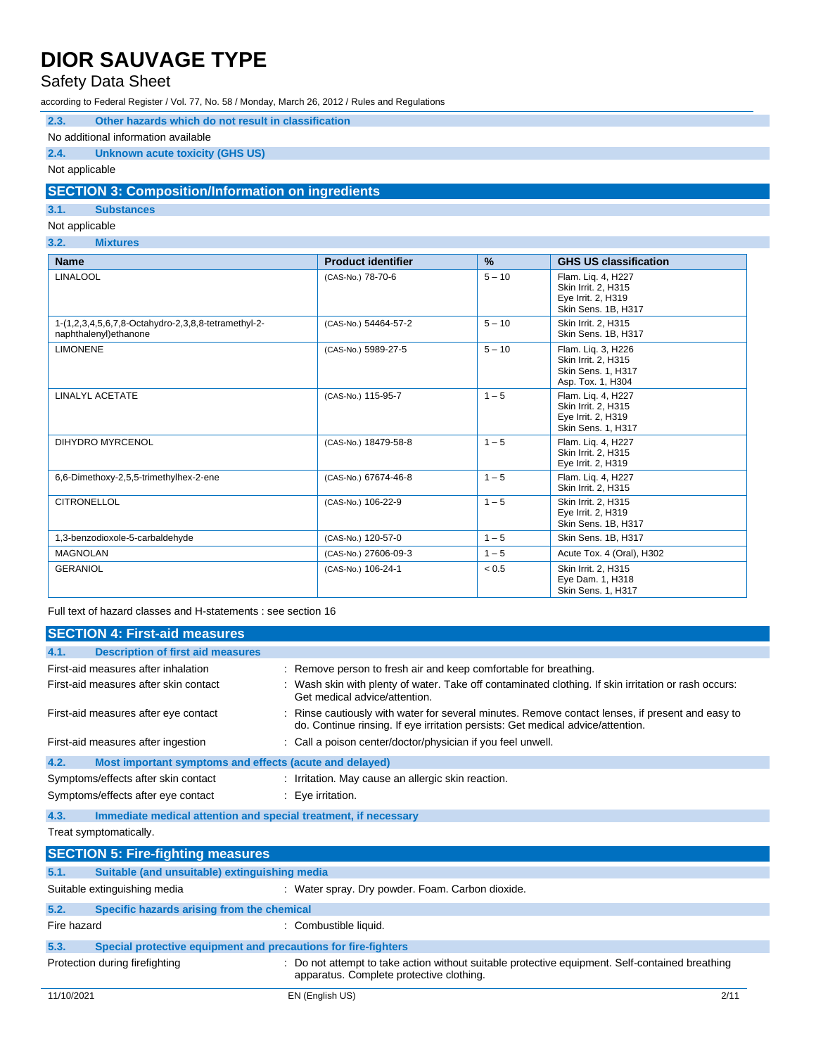## Safety Data Sheet

according to Federal Register / Vol. 77, No. 58 / Monday, March 26, 2012 / Rules and Regulations

| 2.3. |  |  |  |  |  | Other hazards which do not result in classification |
|------|--|--|--|--|--|-----------------------------------------------------|
|------|--|--|--|--|--|-----------------------------------------------------|

#### No additional information available

### **2.4. Unknown acute toxicity (GHS US)**

#### Not applicable

### **SECTION 3: Composition/Information on ingredients**

### **3.1. Substances**

Not applicable

### **3.2. Mixtures**

| <b>Name</b>                                                                   | <b>Product identifier</b> | $\%$     | <b>GHS US classification</b>                                                                |
|-------------------------------------------------------------------------------|---------------------------|----------|---------------------------------------------------------------------------------------------|
| <b>LINALOOL</b>                                                               | (CAS-No.) 78-70-6         | $5 - 10$ | Flam. Liq. 4, H227<br>Skin Irrit. 2, H315<br>Eye Irrit. 2, H319<br>Skin Sens. 1B, H317      |
| 1-(1,2,3,4,5,6,7,8-Octahydro-2,3,8,8-tetramethyl-2-<br>naphthalenyl) ethanone | (CAS-No.) 54464-57-2      | $5 - 10$ | Skin Irrit. 2, H315<br>Skin Sens. 1B. H317                                                  |
| <b>LIMONENE</b>                                                               | (CAS-No.) 5989-27-5       | $5 - 10$ | Flam. Liq. 3, H226<br>Skin Irrit. 2, H315<br><b>Skin Sens. 1. H317</b><br>Asp. Tox. 1, H304 |
| <b>LINALYL ACETATE</b>                                                        | (CAS-No.) 115-95-7        | $1 - 5$  | Flam. Lig. 4, H227<br>Skin Irrit. 2, H315<br>Eye Irrit. 2, H319<br>Skin Sens. 1, H317       |
| <b>DIHYDRO MYRCENOL</b>                                                       | (CAS-No.) 18479-58-8      | $1 - 5$  | Flam. Lig. 4, H227<br>Skin Irrit. 2. H315<br>Eye Irrit. 2, H319                             |
| 6,6-Dimethoxy-2,5,5-trimethylhex-2-ene                                        | (CAS-No.) 67674-46-8      | $1 - 5$  | Flam. Lig. 4, H227<br>Skin Irrit. 2, H315                                                   |
| <b>CITRONELLOL</b>                                                            | (CAS-No.) 106-22-9        | $1 - 5$  | Skin Irrit. 2, H315<br>Eye Irrit. 2, H319<br>Skin Sens. 1B, H317                            |
| 1,3-benzodioxole-5-carbaldehyde                                               | (CAS-No.) 120-57-0        | $1 - 5$  | Skin Sens. 1B. H317                                                                         |
| <b>MAGNOLAN</b>                                                               | (CAS-No.) 27606-09-3      | $1 - 5$  | Acute Tox. 4 (Oral), H302                                                                   |
| <b>GERANIOL</b>                                                               | (CAS-No.) 106-24-1        | < 0.5    | Skin Irrit. 2, H315<br>Eye Dam. 1, H318<br><b>Skin Sens. 1. H317</b>                        |

Full text of hazard classes and H-statements : see section 16

|             | <b>SECTION 4: First-aid measures</b>                            |                                                                                                                                                                                     |  |  |
|-------------|-----------------------------------------------------------------|-------------------------------------------------------------------------------------------------------------------------------------------------------------------------------------|--|--|
| 4.1.        | <b>Description of first aid measures</b>                        |                                                                                                                                                                                     |  |  |
|             | First-aid measures after inhalation                             | : Remove person to fresh air and keep comfortable for breathing.                                                                                                                    |  |  |
|             | First-aid measures after skin contact                           | : Wash skin with plenty of water. Take off contaminated clothing. If skin irritation or rash occurs:<br>Get medical advice/attention.                                               |  |  |
|             | First-aid measures after eye contact                            | : Rinse cautiously with water for several minutes. Remove contact lenses, if present and easy to<br>do. Continue rinsing. If eye irritation persists: Get medical advice/attention. |  |  |
|             | First-aid measures after ingestion                              | : Call a poison center/doctor/physician if you feel unwell.                                                                                                                         |  |  |
| 4.2.        | Most important symptoms and effects (acute and delayed)         |                                                                                                                                                                                     |  |  |
|             | Symptoms/effects after skin contact                             | : Irritation. May cause an allergic skin reaction.                                                                                                                                  |  |  |
|             | Symptoms/effects after eye contact                              | $: Eye$ irritation.                                                                                                                                                                 |  |  |
| 4.3.        | Immediate medical attention and special treatment, if necessary |                                                                                                                                                                                     |  |  |
|             | Treat symptomatically.                                          |                                                                                                                                                                                     |  |  |
|             | <b>SECTION 5: Fire-fighting measures</b>                        |                                                                                                                                                                                     |  |  |
| 5.1.        | Suitable (and unsuitable) extinguishing media                   |                                                                                                                                                                                     |  |  |
|             | Suitable extinguishing media                                    | : Water spray. Dry powder. Foam. Carbon dioxide.                                                                                                                                    |  |  |
| 5.2.        | Specific hazards arising from the chemical                      |                                                                                                                                                                                     |  |  |
| Fire hazard |                                                                 | : Combustible liquid.                                                                                                                                                               |  |  |
| 5.3.        | Special protective equipment and precautions for fire-fighters  |                                                                                                                                                                                     |  |  |
|             | Protection during firefighting                                  | : Do not attempt to take action without suitable protective equipment. Self-contained breathing<br>apparatus. Complete protective clothing.                                         |  |  |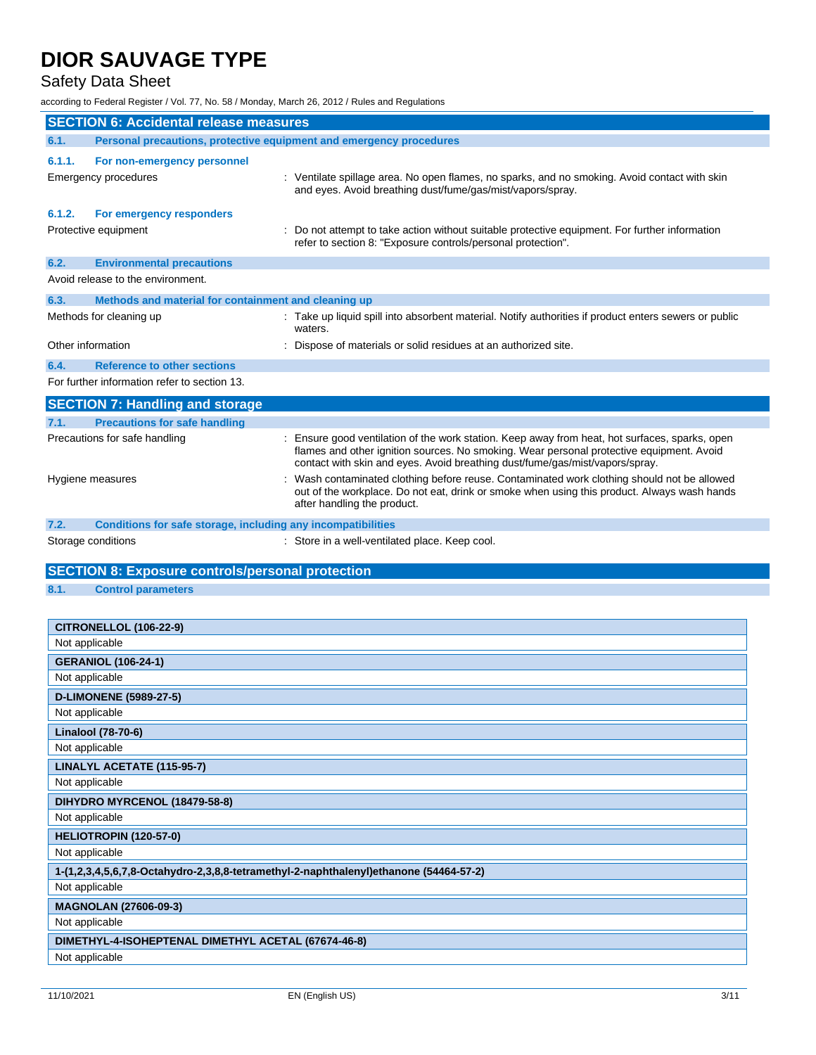## Safety Data Sheet

according to Federal Register / Vol. 77, No. 58 / Monday, March 26, 2012 / Rules and Regulations

|                   | <b>SECTION 6: Accidental release measures</b>                       |                                                                                                                                                                                                                                                                            |
|-------------------|---------------------------------------------------------------------|----------------------------------------------------------------------------------------------------------------------------------------------------------------------------------------------------------------------------------------------------------------------------|
| 6.1.              | Personal precautions, protective equipment and emergency procedures |                                                                                                                                                                                                                                                                            |
| 6.1.1.            | For non-emergency personnel                                         |                                                                                                                                                                                                                                                                            |
|                   | Emergency procedures                                                | : Ventilate spillage area. No open flames, no sparks, and no smoking. Avoid contact with skin<br>and eyes. Avoid breathing dust/fume/gas/mist/vapors/spray.                                                                                                                |
| 6.1.2.            | For emergency responders                                            |                                                                                                                                                                                                                                                                            |
|                   | Protective equipment                                                | Do not attempt to take action without suitable protective equipment. For further information<br>refer to section 8: "Exposure controls/personal protection".                                                                                                               |
| 6.2.              | <b>Environmental precautions</b>                                    |                                                                                                                                                                                                                                                                            |
|                   | Avoid release to the environment.                                   |                                                                                                                                                                                                                                                                            |
| 6.3.              | Methods and material for containment and cleaning up                |                                                                                                                                                                                                                                                                            |
|                   | Methods for cleaning up                                             | : Take up liquid spill into absorbent material. Notify authorities if product enters sewers or public<br>waters.                                                                                                                                                           |
| Other information |                                                                     | : Dispose of materials or solid residues at an authorized site.                                                                                                                                                                                                            |
| 6.4.              | <b>Reference to other sections</b>                                  |                                                                                                                                                                                                                                                                            |
|                   | For further information refer to section 13.                        |                                                                                                                                                                                                                                                                            |
|                   | <b>SECTION 7: Handling and storage</b>                              |                                                                                                                                                                                                                                                                            |
| 7.1.              | <b>Precautions for safe handling</b>                                |                                                                                                                                                                                                                                                                            |
|                   | Precautions for safe handling                                       | : Ensure good ventilation of the work station. Keep away from heat, hot surfaces, sparks, open<br>flames and other ignition sources. No smoking. Wear personal protective equipment. Avoid<br>contact with skin and eyes. Avoid breathing dust/fume/gas/mist/vapors/spray. |
|                   | Hygiene measures                                                    | Wash contaminated clothing before reuse. Contaminated work clothing should not be allowed<br>out of the workplace. Do not eat, drink or smoke when using this product. Always wash hands<br>after handling the product.                                                    |
| 7.2.              | Conditions for safe storage, including any incompatibilities        |                                                                                                                                                                                                                                                                            |
|                   | Storage conditions                                                  | : Store in a well-ventilated place. Keep cool.                                                                                                                                                                                                                             |
|                   |                                                                     |                                                                                                                                                                                                                                                                            |
|                   | <b>SECTION 8: Exposure controls/personal protection</b>             |                                                                                                                                                                                                                                                                            |
| 8.1.              | <b>Control parameters</b>                                           |                                                                                                                                                                                                                                                                            |
|                   |                                                                     |                                                                                                                                                                                                                                                                            |
|                   | <b>CITRONELLOL (106-22-9)</b>                                       |                                                                                                                                                                                                                                                                            |
| Not applicable    |                                                                     |                                                                                                                                                                                                                                                                            |
|                   | <b>GERANIOL (106-24-1)</b>                                          |                                                                                                                                                                                                                                                                            |
| Not applicable    |                                                                     |                                                                                                                                                                                                                                                                            |
|                   | <b>D-LIMONENE (5989-27-5)</b>                                       |                                                                                                                                                                                                                                                                            |
| Not applicable    |                                                                     |                                                                                                                                                                                                                                                                            |
|                   | Linalool (78-70-6)                                                  |                                                                                                                                                                                                                                                                            |
| Not applicable    |                                                                     |                                                                                                                                                                                                                                                                            |
|                   | LINALYL ACETATE (115-95-7)                                          |                                                                                                                                                                                                                                                                            |
| Not applicable    |                                                                     |                                                                                                                                                                                                                                                                            |
|                   | DIHYDRO MYRCENOL (18479-58-8)                                       |                                                                                                                                                                                                                                                                            |
| Not applicable    |                                                                     |                                                                                                                                                                                                                                                                            |
|                   | HELIOTROPIN (120-57-0)                                              |                                                                                                                                                                                                                                                                            |
| Not applicable    |                                                                     |                                                                                                                                                                                                                                                                            |
|                   |                                                                     | 1-(1,2,3,4,5,6,7,8-Octahydro-2,3,8,8-tetramethyl-2-naphthalenyl)ethanone (54464-57-2)                                                                                                                                                                                      |
| Not applicable    |                                                                     |                                                                                                                                                                                                                                                                            |
|                   | <b>MAGNOLAN (27606-09-3)</b>                                        |                                                                                                                                                                                                                                                                            |
| Not applicable    |                                                                     |                                                                                                                                                                                                                                                                            |
| Not applicable    | DIMETHYL-4-ISOHEPTENAL DIMETHYL ACETAL (67674-46-8)                 |                                                                                                                                                                                                                                                                            |
|                   |                                                                     |                                                                                                                                                                                                                                                                            |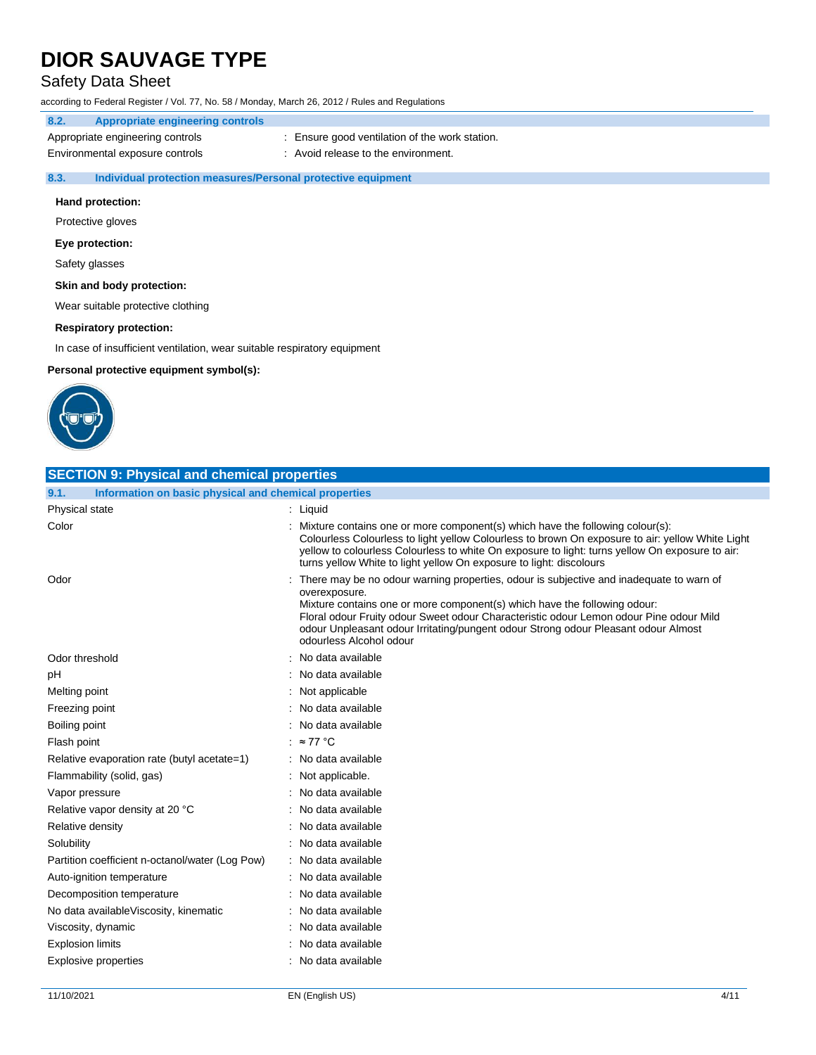## Safety Data Sheet

according to Federal Register / Vol. 77, No. 58 / Monday, March 26, 2012 / Rules and Regulations

### **8.2. Appropriate engineering controls**

Appropriate engineering controls : Ensure good ventilation of the work station.

Environmental exposure controls : Avoid release to the environment.

#### **8.3. Individual protection measures/Personal protective equipment**

#### **Hand protection:**

Protective gloves

#### **Eye protection:**

Safety glasses

### **Skin and body protection:**

Wear suitable protective clothing

#### **Respiratory protection:**

In case of insufficient ventilation, wear suitable respiratory equipment

**Personal protective equipment symbol(s):**



| <b>SECTION 9: Physical and chemical properties</b>            |                                                                                                                                                                                                                                                                                                                                                                                                  |
|---------------------------------------------------------------|--------------------------------------------------------------------------------------------------------------------------------------------------------------------------------------------------------------------------------------------------------------------------------------------------------------------------------------------------------------------------------------------------|
| 9.1.<br>Information on basic physical and chemical properties |                                                                                                                                                                                                                                                                                                                                                                                                  |
| Physical state                                                | : Liquid                                                                                                                                                                                                                                                                                                                                                                                         |
| Color                                                         | Mixture contains one or more component(s) which have the following colour(s):<br>Colourless Colourless to light yellow Colourless to brown On exposure to air: yellow White Light<br>yellow to colourless Colourless to white On exposure to light: turns yellow On exposure to air:<br>turns yellow White to light yellow On exposure to light: discolours                                      |
| Odor                                                          | There may be no odour warning properties, odour is subjective and inadequate to warn of<br>overexposure.<br>Mixture contains one or more component(s) which have the following odour:<br>Floral odour Fruity odour Sweet odour Characteristic odour Lemon odour Pine odour Mild<br>odour Unpleasant odour Irritating/pungent odour Strong odour Pleasant odour Almost<br>odourless Alcohol odour |
| Odor threshold                                                | No data available                                                                                                                                                                                                                                                                                                                                                                                |
| рH                                                            | No data available                                                                                                                                                                                                                                                                                                                                                                                |
| Melting point                                                 | Not applicable                                                                                                                                                                                                                                                                                                                                                                                   |
| Freezing point                                                | No data available                                                                                                                                                                                                                                                                                                                                                                                |
| Boiling point                                                 | No data available                                                                                                                                                                                                                                                                                                                                                                                |
| Flash point                                                   | $: z = 77$ °C                                                                                                                                                                                                                                                                                                                                                                                    |
| Relative evaporation rate (butyl acetate=1)                   | No data available                                                                                                                                                                                                                                                                                                                                                                                |
| Flammability (solid, gas)                                     | Not applicable.                                                                                                                                                                                                                                                                                                                                                                                  |
| Vapor pressure                                                | No data available                                                                                                                                                                                                                                                                                                                                                                                |
| Relative vapor density at 20 °C                               | No data available                                                                                                                                                                                                                                                                                                                                                                                |
| Relative density                                              | No data available                                                                                                                                                                                                                                                                                                                                                                                |
| Solubility                                                    | No data available                                                                                                                                                                                                                                                                                                                                                                                |
| Partition coefficient n-octanol/water (Log Pow)               | No data available                                                                                                                                                                                                                                                                                                                                                                                |
| Auto-ignition temperature                                     | No data available                                                                                                                                                                                                                                                                                                                                                                                |
| Decomposition temperature                                     | No data available                                                                                                                                                                                                                                                                                                                                                                                |
| No data availableViscosity, kinematic                         | No data available                                                                                                                                                                                                                                                                                                                                                                                |
| Viscosity, dynamic                                            | No data available                                                                                                                                                                                                                                                                                                                                                                                |
| <b>Explosion limits</b>                                       | No data available                                                                                                                                                                                                                                                                                                                                                                                |
| <b>Explosive properties</b>                                   | : No data available                                                                                                                                                                                                                                                                                                                                                                              |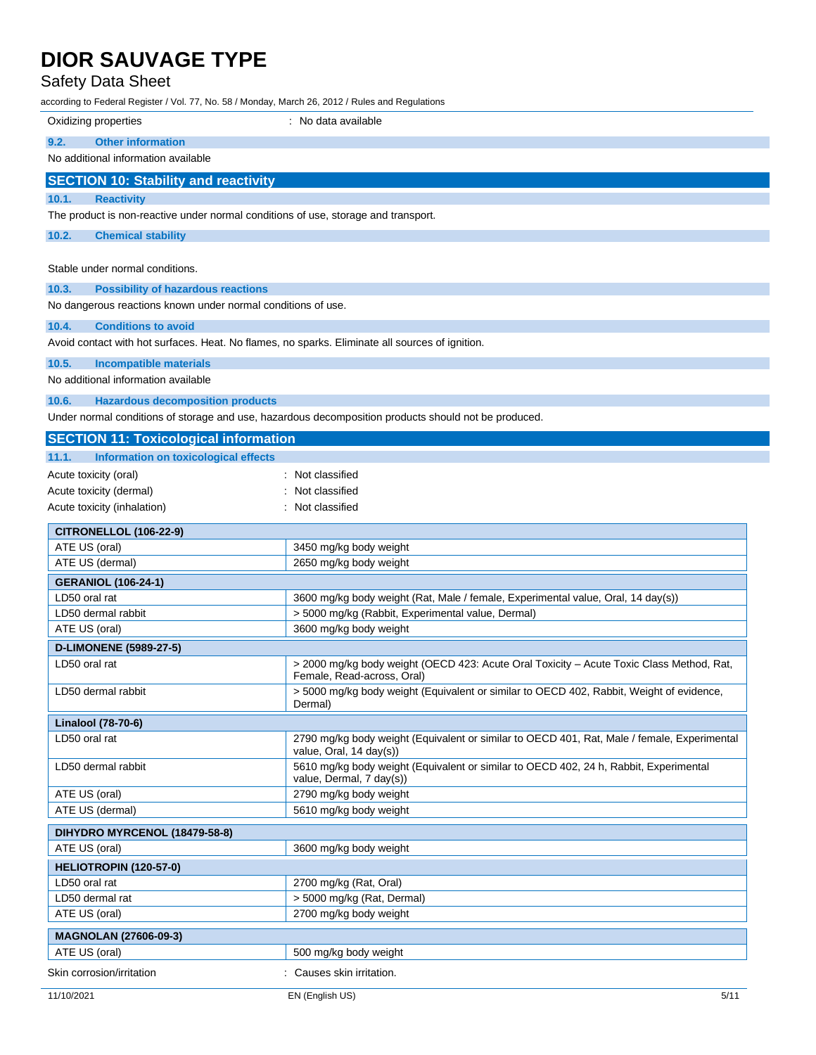## Safety Data Sheet

according to Federal Register / Vol. 77, No. 58 / Monday, March 26, 2012 / Rules and Regulations

| Oxidizing properties                                                                            | : No data available                                                                                                    |
|-------------------------------------------------------------------------------------------------|------------------------------------------------------------------------------------------------------------------------|
| <b>Other information</b><br>9.2.                                                                |                                                                                                                        |
| No additional information available                                                             |                                                                                                                        |
| <b>SECTION 10: Stability and reactivity</b>                                                     |                                                                                                                        |
| 10.1.<br><b>Reactivity</b>                                                                      |                                                                                                                        |
| The product is non-reactive under normal conditions of use, storage and transport.              |                                                                                                                        |
|                                                                                                 |                                                                                                                        |
| 10.2.<br><b>Chemical stability</b>                                                              |                                                                                                                        |
| Stable under normal conditions.                                                                 |                                                                                                                        |
| 10.3.<br><b>Possibility of hazardous reactions</b>                                              |                                                                                                                        |
| No dangerous reactions known under normal conditions of use.                                    |                                                                                                                        |
|                                                                                                 |                                                                                                                        |
| 10.4.<br><b>Conditions to avoid</b>                                                             |                                                                                                                        |
| Avoid contact with hot surfaces. Heat. No flames, no sparks. Eliminate all sources of ignition. |                                                                                                                        |
| 10.5.<br><b>Incompatible materials</b>                                                          |                                                                                                                        |
| No additional information available                                                             |                                                                                                                        |
| 10.6.<br><b>Hazardous decomposition products</b>                                                |                                                                                                                        |
|                                                                                                 | Under normal conditions of storage and use, hazardous decomposition products should not be produced.                   |
| <b>SECTION 11: Toxicological information</b>                                                    |                                                                                                                        |
| Information on toxicological effects<br>11.1.                                                   |                                                                                                                        |
| Acute toxicity (oral)                                                                           | : Not classified                                                                                                       |
| Acute toxicity (dermal)                                                                         | : Not classified                                                                                                       |
| Acute toxicity (inhalation)                                                                     | : Not classified                                                                                                       |
| <b>CITRONELLOL (106-22-9)</b>                                                                   |                                                                                                                        |
| ATE US (oral)                                                                                   | 3450 mg/kg body weight                                                                                                 |
| ATE US (dermal)                                                                                 | 2650 mg/kg body weight                                                                                                 |
| <b>GERANIOL (106-24-1)</b>                                                                      |                                                                                                                        |
| LD50 oral rat                                                                                   | 3600 mg/kg body weight (Rat, Male / female, Experimental value, Oral, 14 day(s))                                       |
| LD50 dermal rabbit                                                                              | > 5000 mg/kg (Rabbit, Experimental value, Dermal)                                                                      |
| ATE US (oral)                                                                                   | 3600 mg/kg body weight                                                                                                 |
| <b>D-LIMONENE (5989-27-5)</b>                                                                   |                                                                                                                        |
| LD50 oral rat                                                                                   | > 2000 mg/kg body weight (OECD 423: Acute Oral Toxicity - Acute Toxic Class Method, Rat,<br>Female, Read-across, Oral) |
| LD50 dermal rabbit                                                                              | > 5000 mg/kg body weight (Equivalent or similar to OECD 402, Rabbit, Weight of evidence,<br>Dermal)                    |
| <b>Linalool (78-70-6)</b>                                                                       |                                                                                                                        |
| LD50 oral rat                                                                                   | 2790 mg/kg body weight (Equivalent or similar to OECD 401, Rat, Male / female, Experimental<br>value, Oral, 14 day(s)) |
| LD50 dermal rabbit                                                                              | 5610 mg/kg body weight (Equivalent or similar to OECD 402, 24 h, Rabbit, Experimental<br>value, Dermal, 7 day(s))      |
| ATE US (oral)                                                                                   | 2790 mg/kg body weight                                                                                                 |
| ATE US (dermal)                                                                                 | 5610 mg/kg body weight                                                                                                 |
| DIHYDRO MYRCENOL (18479-58-8)                                                                   |                                                                                                                        |
| ATE US (oral)                                                                                   | 3600 mg/kg body weight                                                                                                 |
| HELIOTROPIN (120-57-0)                                                                          |                                                                                                                        |
| LD50 oral rat                                                                                   | 2700 mg/kg (Rat, Oral)                                                                                                 |
| LD50 dermal rat                                                                                 | > 5000 mg/kg (Rat, Dermal)                                                                                             |
| ATE US (oral)                                                                                   | 2700 mg/kg body weight                                                                                                 |
| <b>MAGNOLAN (27606-09-3)</b>                                                                    |                                                                                                                        |
| ATE US (oral)                                                                                   | 500 mg/kg body weight                                                                                                  |
|                                                                                                 |                                                                                                                        |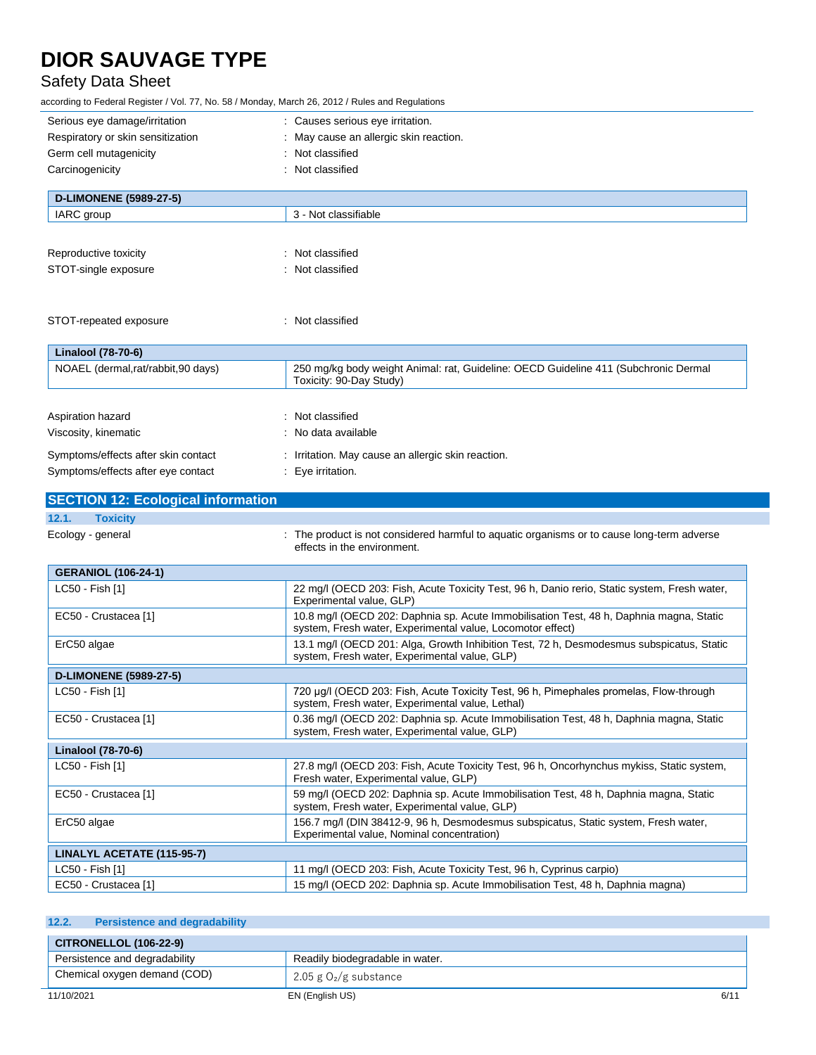## Safety Data Sheet

according to Federal Register / Vol. 77, No. 58 / Monday, March 26, 2012 / Rules and Regulations

| Serious eye damage/irritation             | : Causes serious eye irritation.                                                                                                           |
|-------------------------------------------|--------------------------------------------------------------------------------------------------------------------------------------------|
| Respiratory or skin sensitization         | : May cause an allergic skin reaction.                                                                                                     |
| Germ cell mutagenicity                    | : Not classified                                                                                                                           |
| Carcinogenicity                           | : Not classified                                                                                                                           |
|                                           |                                                                                                                                            |
| <b>D-LIMONENE (5989-27-5)</b>             |                                                                                                                                            |
| IARC group                                | 3 - Not classifiable                                                                                                                       |
|                                           |                                                                                                                                            |
| Reproductive toxicity                     | : Not classified                                                                                                                           |
| STOT-single exposure                      | : Not classified                                                                                                                           |
|                                           |                                                                                                                                            |
|                                           |                                                                                                                                            |
| STOT-repeated exposure                    | : Not classified                                                                                                                           |
|                                           |                                                                                                                                            |
| Linalool (78-70-6)                        |                                                                                                                                            |
| NOAEL (dermal,rat/rabbit,90 days)         | 250 mg/kg body weight Animal: rat, Guideline: OECD Guideline 411 (Subchronic Dermal                                                        |
|                                           | Toxicity: 90-Day Study)                                                                                                                    |
|                                           |                                                                                                                                            |
| Aspiration hazard                         | : Not classified                                                                                                                           |
| Viscosity, kinematic                      | : No data available                                                                                                                        |
| Symptoms/effects after skin contact       | : Irritation. May cause an allergic skin reaction.                                                                                         |
| Symptoms/effects after eye contact        | : Eye irritation.                                                                                                                          |
| <b>SECTION 12: Ecological information</b> |                                                                                                                                            |
|                                           |                                                                                                                                            |
| <b>Toxicity</b><br>12.1.                  |                                                                                                                                            |
| Ecology - general                         | : The product is not considered harmful to aquatic organisms or to cause long-term adverse<br>effects in the environment.                  |
|                                           |                                                                                                                                            |
| <b>GERANIOL (106-24-1)</b>                |                                                                                                                                            |
| LC50 - Fish [1]                           | 22 mg/l (OECD 203: Fish, Acute Toxicity Test, 96 h, Danio rerio, Static system, Fresh water,<br>Experimental value, GLP)                   |
| EC50 - Crustacea [1]                      | 10.8 mg/l (OECD 202: Daphnia sp. Acute Immobilisation Test, 48 h, Daphnia magna, Static                                                    |
|                                           | system, Fresh water, Experimental value, Locomotor effect)                                                                                 |
| ErC50 algae                               | 13.1 mg/l (OECD 201: Alga, Growth Inhibition Test, 72 h, Desmodesmus subspicatus, Static                                                   |
|                                           | system, Fresh water, Experimental value, GLP)                                                                                              |
| <b>D-LIMONENE (5989-27-5)</b>             |                                                                                                                                            |
| LC50 - Fish [1]                           | 720 µg/l (OECD 203: Fish, Acute Toxicity Test, 96 h, Pimephales promelas, Flow-through<br>system, Fresh water, Experimental value, Lethal) |
| EC50 - Crustacea [1]                      | 0.36 mg/l (OECD 202: Daphnia sp. Acute Immobilisation Test, 48 h, Daphnia magna, Static                                                    |
|                                           | system, Fresh water, Experimental value, GLP)                                                                                              |
| Linalool (78-70-6)                        |                                                                                                                                            |
| LC50 - Fish [1]                           | 27.8 mg/l (OECD 203: Fish, Acute Toxicity Test, 96 h, Oncorhynchus mykiss, Static system,                                                  |
|                                           | Fresh water, Experimental value, GLP)                                                                                                      |
| EC50 - Crustacea [1]                      | 59 mg/l (OECD 202: Daphnia sp. Acute Immobilisation Test, 48 h, Daphnia magna, Static                                                      |
|                                           | system, Fresh water, Experimental value, GLP)                                                                                              |
| ErC50 algae                               | 156.7 mg/l (DIN 38412-9, 96 h, Desmodesmus subspicatus, Static system, Fresh water,<br>Experimental value, Nominal concentration)          |
| LINALYL ACETATE (115-95-7)                |                                                                                                                                            |
| LC50 - Fish [1]                           | 11 mg/l (OECD 203: Fish, Acute Toxicity Test, 96 h, Cyprinus carpio)                                                                       |
| EC50 - Crustacea [1]                      | 15 mg/l (OECD 202: Daphnia sp. Acute Immobilisation Test, 48 h, Daphnia magna)                                                             |
|                                           |                                                                                                                                            |

### **12.2. Persistence and degradability**

| <b>CITRONELLOL (106-22-9)</b> |                                 |     |
|-------------------------------|---------------------------------|-----|
| Persistence and degradability | Readily biodegradable in water. |     |
| Chemical oxygen demand (COD)  | 2.05 g $O_2/g$ substance        |     |
| 11/10/2021                    | EN (English US)                 | 6/1 |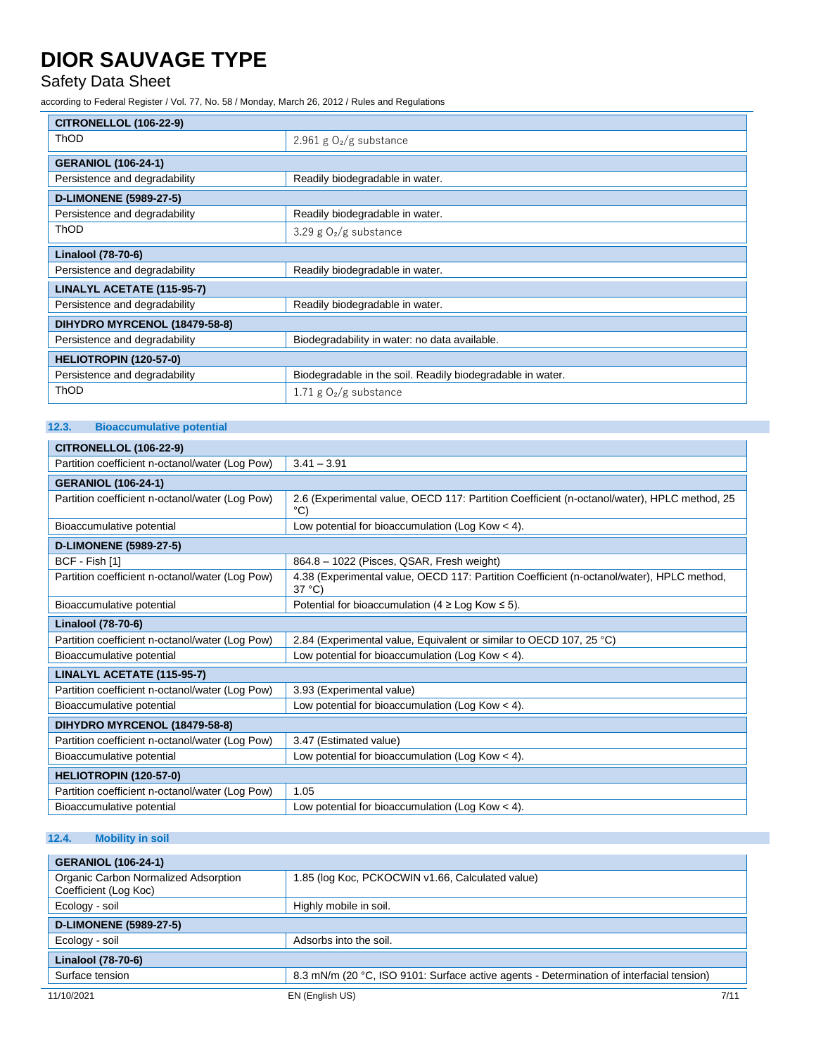## Safety Data Sheet

according to Federal Register / Vol. 77, No. 58 / Monday, March 26, 2012 / Rules and Regulations

| <b>CITRONELLOL (106-22-9)</b> |                                                            |
|-------------------------------|------------------------------------------------------------|
| <b>ThOD</b>                   | 2.961 g $O_2/g$ substance                                  |
| <b>GERANIOL (106-24-1)</b>    |                                                            |
| Persistence and degradability | Readily biodegradable in water.                            |
| <b>D-LIMONENE (5989-27-5)</b> |                                                            |
| Persistence and degradability | Readily biodegradable in water.                            |
| <b>ThOD</b>                   | 3.29 g $O_2/g$ substance                                   |
| <b>Linalool (78-70-6)</b>     |                                                            |
| Persistence and degradability | Readily biodegradable in water.                            |
| LINALYL ACETATE (115-95-7)    |                                                            |
| Persistence and degradability | Readily biodegradable in water.                            |
| DIHYDRO MYRCENOL (18479-58-8) |                                                            |
| Persistence and degradability | Biodegradability in water: no data available.              |
| HELIOTROPIN (120-57-0)        |                                                            |
| Persistence and degradability | Biodegradable in the soil. Readily biodegradable in water. |
| <b>ThOD</b>                   | 1.71 g $O_2/g$ substance                                   |

### **12.3. Bioaccumulative potential**

| <b>CITRONELLOL (106-22-9)</b>                   |                                                                                                                |
|-------------------------------------------------|----------------------------------------------------------------------------------------------------------------|
| Partition coefficient n-octanol/water (Log Pow) | $3.41 - 3.91$                                                                                                  |
| <b>GERANIOL (106-24-1)</b>                      |                                                                                                                |
| Partition coefficient n-octanol/water (Log Pow) | 2.6 (Experimental value, OECD 117: Partition Coefficient (n-octanol/water), HPLC method, 25<br>$\rm ^{\circ}C$ |
| Bioaccumulative potential                       | Low potential for bioaccumulation (Log Kow $<$ 4).                                                             |
| <b>D-LIMONENE (5989-27-5)</b>                   |                                                                                                                |
| BCF - Fish [1]                                  | 864.8 - 1022 (Pisces, QSAR, Fresh weight)                                                                      |
| Partition coefficient n-octanol/water (Log Pow) | 4.38 (Experimental value, OECD 117: Partition Coefficient (n-octanol/water), HPLC method,<br>$37^{\circ}$ C)   |
| Bioaccumulative potential                       | Potential for bioaccumulation (4 $\geq$ Log Kow $\leq$ 5).                                                     |
| Linalool (78-70-6)                              |                                                                                                                |
| Partition coefficient n-octanol/water (Log Pow) | 2.84 (Experimental value, Equivalent or similar to OECD 107, 25 °C)                                            |
| Bioaccumulative potential                       | Low potential for bioaccumulation (Log Kow $<$ 4).                                                             |
| LINALYL ACETATE (115-95-7)                      |                                                                                                                |
| Partition coefficient n-octanol/water (Log Pow) | 3.93 (Experimental value)                                                                                      |
| Bioaccumulative potential                       | Low potential for bioaccumulation (Log Kow $<$ 4).                                                             |
| DIHYDRO MYRCENOL (18479-58-8)                   |                                                                                                                |
| Partition coefficient n-octanol/water (Log Pow) | 3.47 (Estimated value)                                                                                         |
| Bioaccumulative potential                       | Low potential for bioaccumulation (Log Kow $<$ 4).                                                             |
| HELIOTROPIN (120-57-0)                          |                                                                                                                |
| Partition coefficient n-octanol/water (Log Pow) | 1.05                                                                                                           |
| Bioaccumulative potential                       | Low potential for bioaccumulation (Log Kow $<$ 4).                                                             |

### **12.4. Mobility in soil**

| <b>GERANIOL (106-24-1)</b>                                    |                                                                                          |      |
|---------------------------------------------------------------|------------------------------------------------------------------------------------------|------|
| Organic Carbon Normalized Adsorption<br>Coefficient (Log Koc) | 1.85 (log Koc, PCKOCWIN v1.66, Calculated value)                                         |      |
| Ecology - soil                                                | Highly mobile in soil.                                                                   |      |
| <b>D-LIMONENE (5989-27-5)</b>                                 |                                                                                          |      |
| Ecology - soil                                                | Adsorbs into the soil.                                                                   |      |
| Linalool (78-70-6)                                            |                                                                                          |      |
| Surface tension                                               | 8.3 mN/m (20 °C, ISO 9101: Surface active agents - Determination of interfacial tension) |      |
| 11/10/2021                                                    | EN (English US)                                                                          | 7/11 |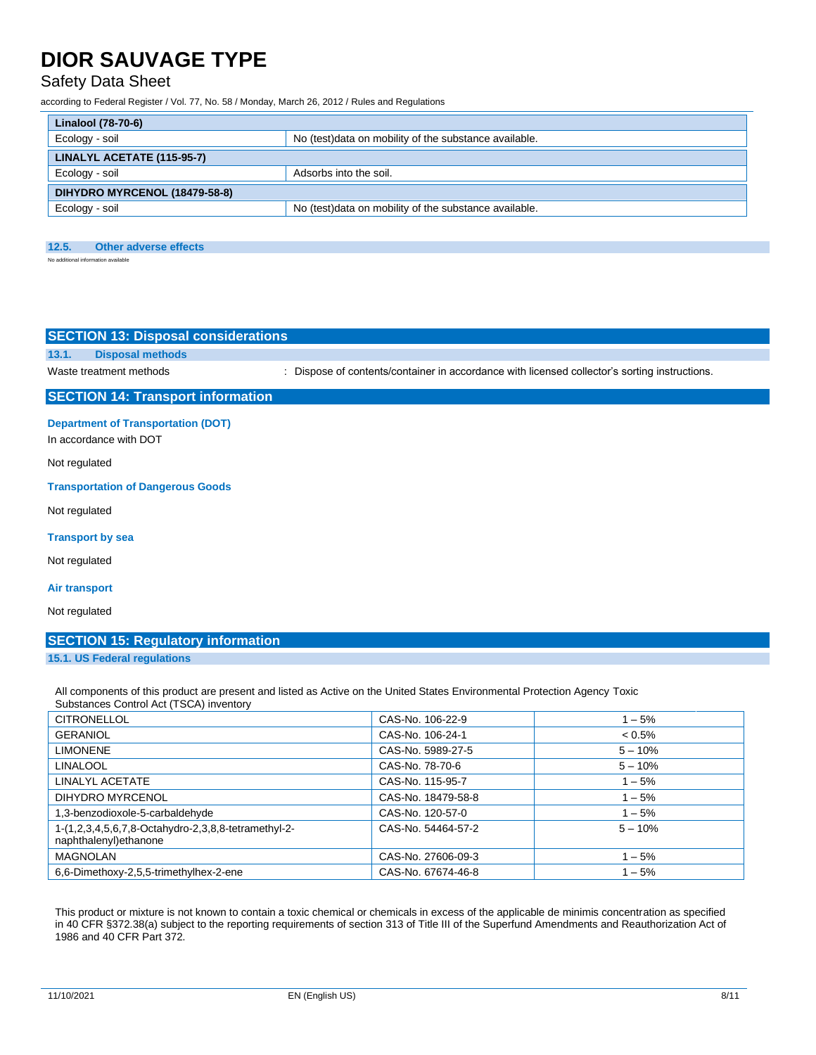### Safety Data Sheet

according to Federal Register / Vol. 77, No. 58 / Monday, March 26, 2012 / Rules and Regulations

| Linalool (78-70-6)            |                                                        |
|-------------------------------|--------------------------------------------------------|
| Ecology - soil                | No (test) data on mobility of the substance available. |
| LINALYL ACETATE (115-95-7)    |                                                        |
| Ecology - soil                | Adsorbs into the soil.                                 |
| DIHYDRO MYRCENOL (18479-58-8) |                                                        |
| Ecology - soil                | No (test) data on mobility of the substance available. |

#### **12.5. Other adverse effects**

No additional information available

| <b>SECTION 13: Disposal considerations</b>                          |                                                                                               |
|---------------------------------------------------------------------|-----------------------------------------------------------------------------------------------|
| 13.1.<br><b>Disposal methods</b>                                    |                                                                                               |
| Waste treatment methods                                             | : Dispose of contents/container in accordance with licensed collector's sorting instructions. |
| <b>SECTION 14: Transport information</b>                            |                                                                                               |
| <b>Department of Transportation (DOT)</b><br>In accordance with DOT |                                                                                               |
| Not regulated                                                       |                                                                                               |
| <b>Transportation of Dangerous Goods</b>                            |                                                                                               |
| Not regulated                                                       |                                                                                               |
| <b>Transport by sea</b>                                             |                                                                                               |
| Not regulated                                                       |                                                                                               |
|                                                                     |                                                                                               |

#### **Air transport**

Not regulated

### **SECTION 15: Regulatory information**

#### **15.1. US Federal regulations**

All components of this product are present and listed as Active on the United States Environmental Protection Agency Toxic Substances Control Act (TSCA) inventory

| <b>CITRONELLOL</b>                                                            | CAS-No. 106-22-9   | $1 - 5%$  |
|-------------------------------------------------------------------------------|--------------------|-----------|
| <b>GERANIOL</b>                                                               | CAS-No. 106-24-1   | $< 0.5\%$ |
| <b>LIMONENE</b>                                                               | CAS-No. 5989-27-5  | $5 - 10%$ |
| <b>LINALOOL</b>                                                               | CAS-No. 78-70-6    | $5 - 10%$ |
| LINALYL ACETATE                                                               | CAS-No. 115-95-7   | $1 - 5%$  |
| DIHYDRO MYRCENOL                                                              | CAS-No. 18479-58-8 | $1 - 5%$  |
| 1,3-benzodioxole-5-carbaldehyde                                               | CAS-No. 120-57-0   | $1 - 5%$  |
| 1-(1,2,3,4,5,6,7,8-Octahydro-2,3,8,8-tetramethyl-2-<br>naphthalenyl) ethanone | CAS-No. 54464-57-2 | $5 - 10%$ |
| <b>MAGNOLAN</b>                                                               | CAS-No. 27606-09-3 | $1 - 5%$  |
| 6.6-Dimethoxy-2.5.5-trimethylhex-2-ene                                        | CAS-No. 67674-46-8 | $1 - 5%$  |

This product or mixture is not known to contain a toxic chemical or chemicals in excess of the applicable de minimis concentration as specified in 40 CFR §372.38(a) subject to the reporting requirements of section 313 of Title III of the Superfund Amendments and Reauthorization Act of 1986 and 40 CFR Part 372.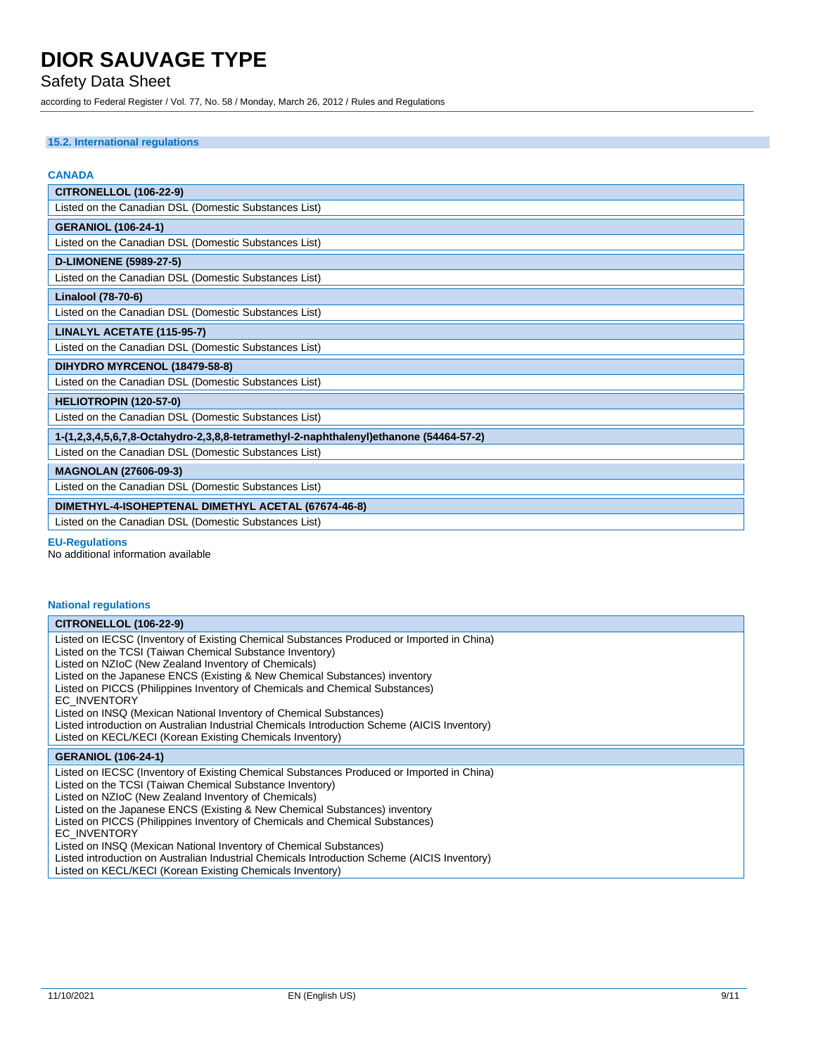## Safety Data Sheet

according to Federal Register / Vol. 77, No. 58 / Monday, March 26, 2012 / Rules and Regulations

### **15.2. International regulations**

| <b>CANADA</b>                                                                         |  |  |
|---------------------------------------------------------------------------------------|--|--|
| <b>CITRONELLOL (106-22-9)</b>                                                         |  |  |
| Listed on the Canadian DSL (Domestic Substances List)                                 |  |  |
| <b>GERANIOL (106-24-1)</b>                                                            |  |  |
| Listed on the Canadian DSL (Domestic Substances List)                                 |  |  |
| <b>D-LIMONENE (5989-27-5)</b>                                                         |  |  |
| Listed on the Canadian DSL (Domestic Substances List)                                 |  |  |
| <b>Linalool (78-70-6)</b>                                                             |  |  |
| Listed on the Canadian DSL (Domestic Substances List)                                 |  |  |
| LINALYL ACETATE (115-95-7)                                                            |  |  |
| Listed on the Canadian DSL (Domestic Substances List)                                 |  |  |
| DIHYDRO MYRCENOL (18479-58-8)                                                         |  |  |
| Listed on the Canadian DSL (Domestic Substances List)                                 |  |  |
| HELIOTROPIN (120-57-0)                                                                |  |  |
| Listed on the Canadian DSL (Domestic Substances List)                                 |  |  |
| 1-(1,2,3,4,5,6,7,8-Octahydro-2,3,8,8-tetramethyl-2-naphthalenyl)ethanone (54464-57-2) |  |  |
| Listed on the Canadian DSL (Domestic Substances List)                                 |  |  |
| <b>MAGNOLAN (27606-09-3)</b>                                                          |  |  |
| Listed on the Canadian DSL (Domestic Substances List)                                 |  |  |
| DIMETHYL-4-ISOHEPTENAL DIMETHYL ACETAL (67674-46-8)                                   |  |  |
| Listed on the Canadian DSL (Domestic Substances List)                                 |  |  |

#### **EU-Regulations**

No additional information available

### **National regulations**

| <b>CITRONELLOL (106-22-9)</b>                                                                                                                             |
|-----------------------------------------------------------------------------------------------------------------------------------------------------------|
| Listed on IECSC (Inventory of Existing Chemical Substances Produced or Imported in China)                                                                 |
| Listed on the TCSI (Taiwan Chemical Substance Inventory)                                                                                                  |
| Listed on NZIoC (New Zealand Inventory of Chemicals)                                                                                                      |
| Listed on the Japanese ENCS (Existing & New Chemical Substances) inventory                                                                                |
| Listed on PICCS (Philippines Inventory of Chemicals and Chemical Substances)                                                                              |
| <b>EC INVENTORY</b>                                                                                                                                       |
| Listed on INSQ (Mexican National Inventory of Chemical Substances)                                                                                        |
| Listed introduction on Australian Industrial Chemicals Introduction Scheme (AICIS Inventory)                                                              |
| Listed on KECL/KECI (Korean Existing Chemicals Inventory)                                                                                                 |
|                                                                                                                                                           |
| <b>GERANIOL (106-24-1)</b>                                                                                                                                |
| Listed on IECSC (Inventory of Existing Chemical Substances Produced or Imported in China)                                                                 |
| Listed on the TCSI (Taiwan Chemical Substance Inventory)                                                                                                  |
| Listed on NZIoC (New Zealand Inventory of Chemicals)                                                                                                      |
| Listed on the Japanese ENCS (Existing & New Chemical Substances) inventory                                                                                |
| Listed on PICCS (Philippines Inventory of Chemicals and Chemical Substances)                                                                              |
| <b>EC INVENTORY</b>                                                                                                                                       |
| Listed on INSQ (Mexican National Inventory of Chemical Substances)                                                                                        |
| Listed introduction on Australian Industrial Chemicals Introduction Scheme (AICIS Inventory)<br>Listed on KECL/KECI (Korean Existing Chemicals Inventory) |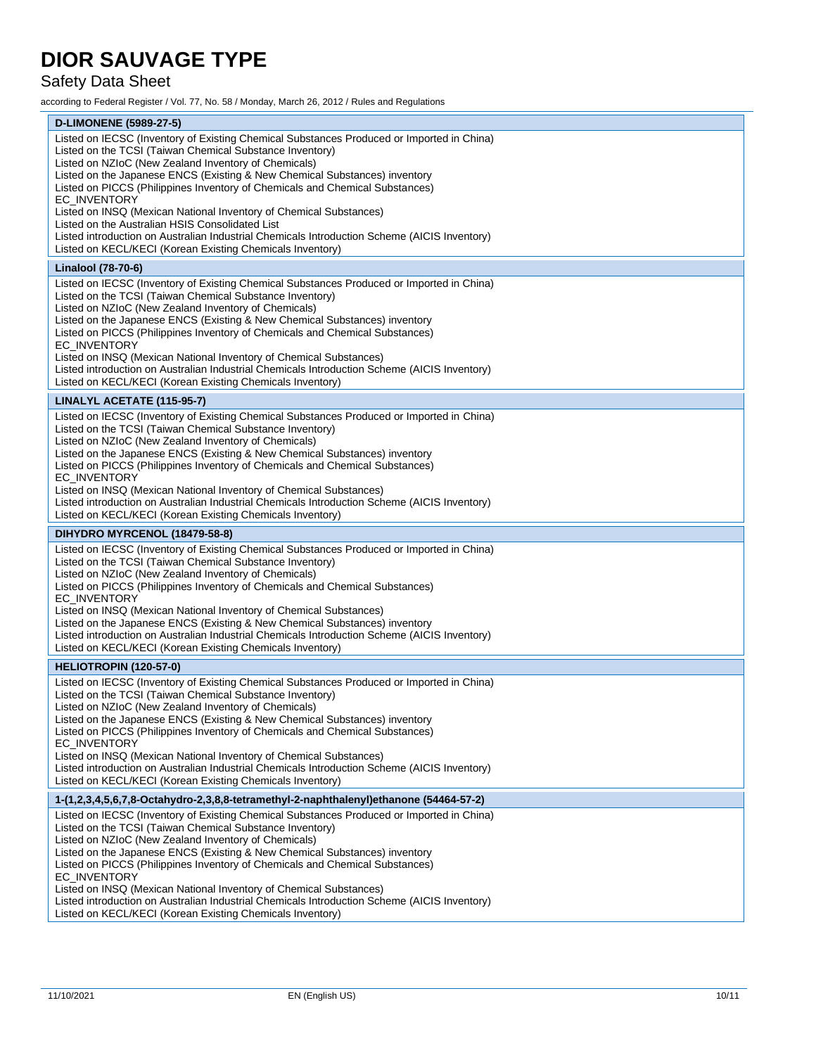## Safety Data Sheet

according to Federal Register / Vol. 77, No. 58 / Monday, March 26, 2012 / Rules and Regulations

| <b>D-LIMONENE (5989-27-5)</b>                                                                                                                                              |
|----------------------------------------------------------------------------------------------------------------------------------------------------------------------------|
| Listed on IECSC (Inventory of Existing Chemical Substances Produced or Imported in China)                                                                                  |
| Listed on the TCSI (Taiwan Chemical Substance Inventory)                                                                                                                   |
| Listed on NZIoC (New Zealand Inventory of Chemicals)                                                                                                                       |
| Listed on the Japanese ENCS (Existing & New Chemical Substances) inventory                                                                                                 |
| Listed on PICCS (Philippines Inventory of Chemicals and Chemical Substances)<br>EC_INVENTORY                                                                               |
| Listed on INSQ (Mexican National Inventory of Chemical Substances)                                                                                                         |
| Listed on the Australian HSIS Consolidated List                                                                                                                            |
| Listed introduction on Australian Industrial Chemicals Introduction Scheme (AICIS Inventory)                                                                               |
| Listed on KECL/KECI (Korean Existing Chemicals Inventory)                                                                                                                  |
| Linalool (78-70-6)                                                                                                                                                         |
| Listed on IECSC (Inventory of Existing Chemical Substances Produced or Imported in China)                                                                                  |
| Listed on the TCSI (Taiwan Chemical Substance Inventory)                                                                                                                   |
| Listed on NZIoC (New Zealand Inventory of Chemicals)                                                                                                                       |
| Listed on the Japanese ENCS (Existing & New Chemical Substances) inventory                                                                                                 |
| Listed on PICCS (Philippines Inventory of Chemicals and Chemical Substances)                                                                                               |
| EC_INVENTORY<br>Listed on INSQ (Mexican National Inventory of Chemical Substances)                                                                                         |
| Listed introduction on Australian Industrial Chemicals Introduction Scheme (AICIS Inventory)                                                                               |
| Listed on KECL/KECI (Korean Existing Chemicals Inventory)                                                                                                                  |
| LINALYL ACETATE (115-95-7)                                                                                                                                                 |
| Listed on IECSC (Inventory of Existing Chemical Substances Produced or Imported in China)                                                                                  |
| Listed on the TCSI (Taiwan Chemical Substance Inventory)                                                                                                                   |
| Listed on NZIoC (New Zealand Inventory of Chemicals)                                                                                                                       |
| Listed on the Japanese ENCS (Existing & New Chemical Substances) inventory                                                                                                 |
| Listed on PICCS (Philippines Inventory of Chemicals and Chemical Substances)                                                                                               |
| EC_INVENTORY                                                                                                                                                               |
| Listed on INSQ (Mexican National Inventory of Chemical Substances)                                                                                                         |
| Listed introduction on Australian Industrial Chemicals Introduction Scheme (AICIS Inventory)                                                                               |
| Listed on KECL/KECI (Korean Existing Chemicals Inventory)                                                                                                                  |
| DIHYDRO MYRCENOL (18479-58-8)                                                                                                                                              |
| Listed on IECSC (Inventory of Existing Chemical Substances Produced or Imported in China)                                                                                  |
| Listed on the TCSI (Taiwan Chemical Substance Inventory)                                                                                                                   |
| Listed on NZIoC (New Zealand Inventory of Chemicals)<br>Listed on PICCS (Philippines Inventory of Chemicals and Chemical Substances)                                       |
| EC_INVENTORY                                                                                                                                                               |
| Listed on INSQ (Mexican National Inventory of Chemical Substances)                                                                                                         |
|                                                                                                                                                                            |
|                                                                                                                                                                            |
| Listed on the Japanese ENCS (Existing & New Chemical Substances) inventory<br>Listed introduction on Australian Industrial Chemicals Introduction Scheme (AICIS Inventory) |
| Listed on KECL/KECI (Korean Existing Chemicals Inventory)                                                                                                                  |
| HELIOTROPIN (120-57-0)                                                                                                                                                     |
|                                                                                                                                                                            |
| Listed on IECSC (Inventory of Existing Chemical Substances Produced or Imported in China)<br>Listed on the TCSI (Taiwan Chemical Substance Inventory)                      |
| Listed on NZIoC (New Zealand Inventory of Chemicals)                                                                                                                       |
| Listed on the Japanese ENCS (Existing & New Chemical Substances) inventory                                                                                                 |
| Listed on PICCS (Philippines Inventory of Chemicals and Chemical Substances)                                                                                               |
| EC INVENTORY                                                                                                                                                               |
| Listed on INSQ (Mexican National Inventory of Chemical Substances)                                                                                                         |
| Listed introduction on Australian Industrial Chemicals Introduction Scheme (AICIS Inventory)<br>Listed on KECL/KECI (Korean Existing Chemicals Inventory)                  |
|                                                                                                                                                                            |
| 1-(1,2,3,4,5,6,7,8-Octahydro-2,3,8,8-tetramethyl-2-naphthalenyl)ethanone (54464-57-2)                                                                                      |
| Listed on IECSC (Inventory of Existing Chemical Substances Produced or Imported in China)<br>Listed on the TCSI (Taiwan Chemical Substance Inventory)                      |
| Listed on NZIoC (New Zealand Inventory of Chemicals)                                                                                                                       |
| Listed on the Japanese ENCS (Existing & New Chemical Substances) inventory                                                                                                 |
| Listed on PICCS (Philippines Inventory of Chemicals and Chemical Substances)                                                                                               |
| <b>EC INVENTORY</b>                                                                                                                                                        |
| Listed on INSQ (Mexican National Inventory of Chemical Substances)<br>Listed introduction on Australian Industrial Chemicals Introduction Scheme (AICIS Inventory)         |